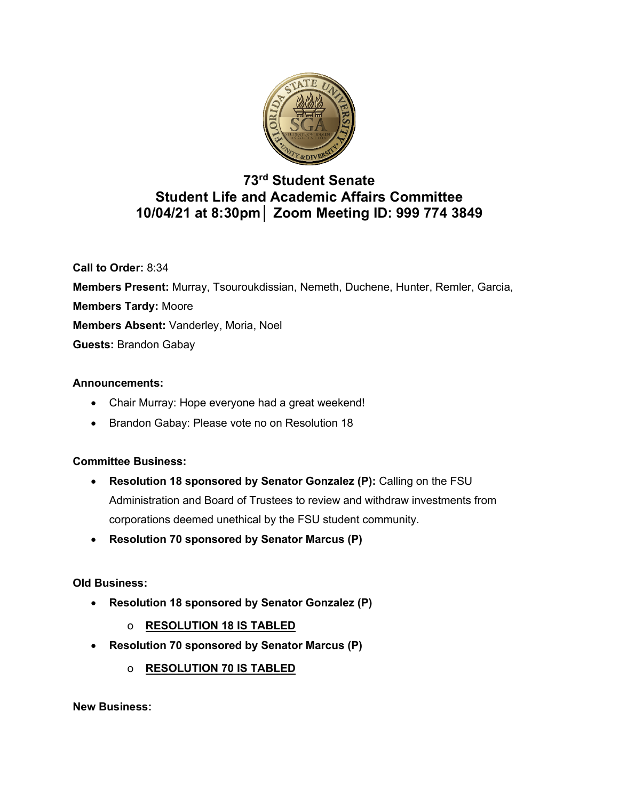

# **73rd Student Senate Student Life and Academic Affairs Committee 10/04/21 at 8:30pm│ Zoom Meeting ID: 999 774 3849**

**Call to Order:** 8:34 **Members Present:** Murray, Tsouroukdissian, Nemeth, Duchene, Hunter, Remler, Garcia, **Members Tardy:** Moore **Members Absent:** Vanderley, Moria, Noel **Guests:** Brandon Gabay

### **Announcements:**

- Chair Murray: Hope everyone had a great weekend!
- Brandon Gabay: Please vote no on Resolution 18

## **Committee Business:**

- **Resolution 18 sponsored by Senator Gonzalez (P):** Calling on the FSU Administration and Board of Trustees to review and withdraw investments from corporations deemed unethical by the FSU student community.
- **Resolution 70 sponsored by Senator Marcus (P)**

### **Old Business:**

- **Resolution 18 sponsored by Senator Gonzalez (P)**
	- o **RESOLUTION 18 IS TABLED**
- **Resolution 70 sponsored by Senator Marcus (P)**
	- o **RESOLUTION 70 IS TABLED**

**New Business:**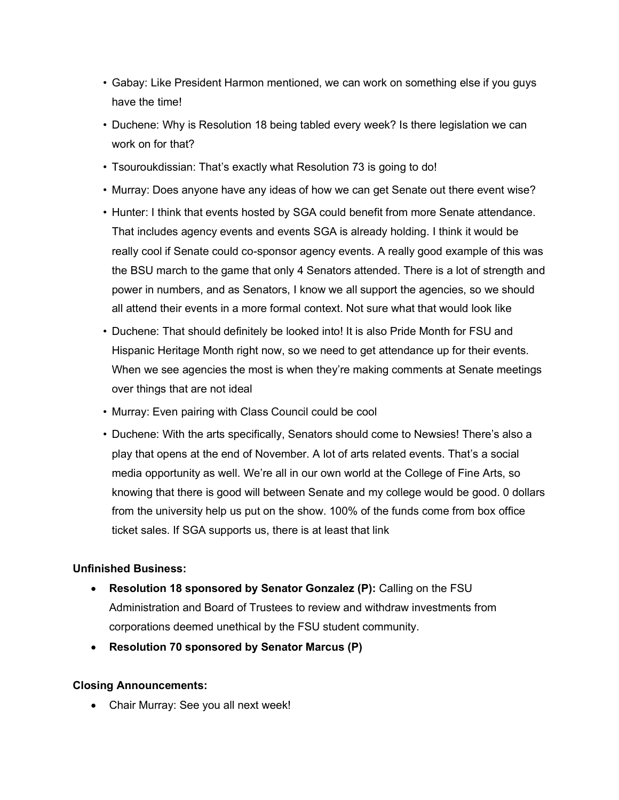- Gabay: Like President Harmon mentioned, we can work on something else if you guys have the time!
- Duchene: Why is Resolution 18 being tabled every week? Is there legislation we can work on for that?
- Tsouroukdissian: That's exactly what Resolution 73 is going to do!
- Murray: Does anyone have any ideas of how we can get Senate out there event wise?
- Hunter: I think that events hosted by SGA could benefit from more Senate attendance. That includes agency events and events SGA is already holding. I think it would be really cool if Senate could co-sponsor agency events. A really good example of this was the BSU march to the game that only 4 Senators attended. There is a lot of strength and power in numbers, and as Senators, I know we all support the agencies, so we should all attend their events in a more formal context. Not sure what that would look like
- Duchene: That should definitely be looked into! It is also Pride Month for FSU and Hispanic Heritage Month right now, so we need to get attendance up for their events. When we see agencies the most is when they're making comments at Senate meetings over things that are not ideal
- Murray: Even pairing with Class Council could be cool
- Duchene: With the arts specifically, Senators should come to Newsies! There's also a play that opens at the end of November. A lot of arts related events. That's a social media opportunity as well. We're all in our own world at the College of Fine Arts, so knowing that there is good will between Senate and my college would be good. 0 dollars from the university help us put on the show. 100% of the funds come from box office ticket sales. If SGA supports us, there is at least that link

#### **Unfinished Business:**

- **Resolution 18 sponsored by Senator Gonzalez (P):** Calling on the FSU Administration and Board of Trustees to review and withdraw investments from corporations deemed unethical by the FSU student community.
- **Resolution 70 sponsored by Senator Marcus (P)**

#### **Closing Announcements:**

• Chair Murray: See you all next week!